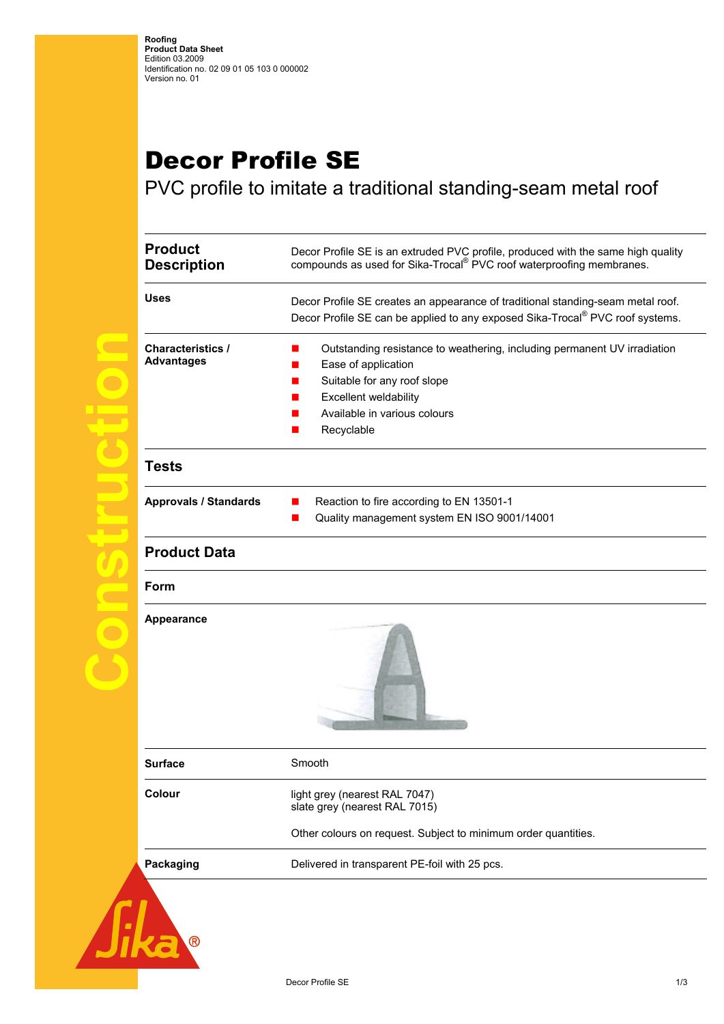## Decor Profile SE

PVC profile to imitate a traditional standing-seam metal roof

| <b>Product</b><br><b>Description</b>          | Decor Profile SE is an extruded PVC profile, produced with the same high quality<br>compounds as used for Sika-Trocal® PVC roof waterproofing membranes.                                              |
|-----------------------------------------------|-------------------------------------------------------------------------------------------------------------------------------------------------------------------------------------------------------|
| <b>Uses</b>                                   | Decor Profile SE creates an appearance of traditional standing-seam metal roof.<br>Decor Profile SE can be applied to any exposed Sika-Trocal® PVC roof systems.                                      |
| <b>Characteristics /</b><br><b>Advantages</b> | Outstanding resistance to weathering, including permanent UV irradiation<br>Ease of application<br>Suitable for any roof slope<br>Excellent weldability<br>Available in various colours<br>Recyclable |
| <b>Tests</b>                                  |                                                                                                                                                                                                       |
| <b>Approvals / Standards</b>                  | Reaction to fire according to EN 13501-1<br>Quality management system EN ISO 9001/14001                                                                                                               |
| <b>Product Data</b>                           |                                                                                                                                                                                                       |
| Form                                          |                                                                                                                                                                                                       |
| <b>Appearance</b>                             |                                                                                                                                                                                                       |
| <b>Surface</b>                                | Smooth                                                                                                                                                                                                |
|                                               |                                                                                                                                                                                                       |
| Colour                                        | light grey (nearest RAL 7047)<br>slate grey (nearest RAL 7015)                                                                                                                                        |
|                                               | Other colours on request. Subject to minimum order quantities.                                                                                                                                        |

Ka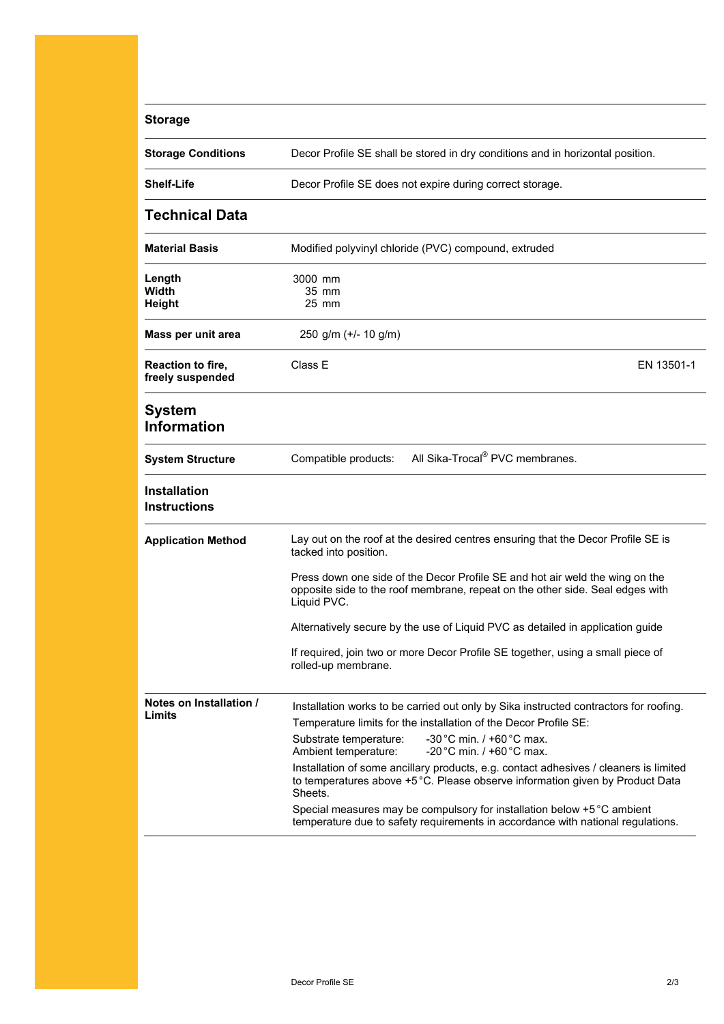| <b>Storage</b>                             |                                                                                                                                                                                   |
|--------------------------------------------|-----------------------------------------------------------------------------------------------------------------------------------------------------------------------------------|
| <b>Storage Conditions</b>                  | Decor Profile SE shall be stored in dry conditions and in horizontal position.                                                                                                    |
| <b>Shelf-Life</b>                          | Decor Profile SE does not expire during correct storage.                                                                                                                          |
| <b>Technical Data</b>                      |                                                                                                                                                                                   |
| <b>Material Basis</b>                      | Modified polyvinyl chloride (PVC) compound, extruded                                                                                                                              |
| Length                                     | 3000 mm                                                                                                                                                                           |
| Width                                      | 35 mm                                                                                                                                                                             |
| <b>Height</b>                              | 25 mm                                                                                                                                                                             |
| Mass per unit area                         | 250 g/m $(+/- 10$ g/m)                                                                                                                                                            |
| Reaction to fire,<br>freely suspended      | Class E<br>EN 13501-1                                                                                                                                                             |
| <b>System</b><br><b>Information</b>        |                                                                                                                                                                                   |
| <b>System Structure</b>                    | All Sika-Trocal <sup>®</sup> PVC membranes.<br>Compatible products:                                                                                                               |
| <b>Installation</b><br><b>Instructions</b> |                                                                                                                                                                                   |
| <b>Application Method</b>                  | Lay out on the roof at the desired centres ensuring that the Decor Profile SE is<br>tacked into position.                                                                         |
|                                            | Press down one side of the Decor Profile SE and hot air weld the wing on the<br>opposite side to the roof membrane, repeat on the other side. Seal edges with<br>Liquid PVC.      |
|                                            | Alternatively secure by the use of Liquid PVC as detailed in application guide                                                                                                    |
|                                            | If required, join two or more Decor Profile SE together, using a small piece of<br>rolled-up membrane.                                                                            |
| Notes on Installation /                    | Installation works to be carried out only by Sika instructed contractors for roofing.                                                                                             |
| Limits                                     | Temperature limits for the installation of the Decor Profile SE:                                                                                                                  |
|                                            | -30 °C min. $/$ +60 °C max.<br>Substrate temperature:<br>-20 °C min. $/$ +60 °C max.<br>Ambient temperature:                                                                      |
|                                            | Installation of some ancillary products, e.g. contact adhesives / cleaners is limited<br>to temperatures above +5 °C. Please observe information given by Product Data<br>Sheets. |
|                                            | Special measures may be compulsory for installation below +5 °C ambient<br>temperature due to safety requirements in accordance with national regulations.                        |